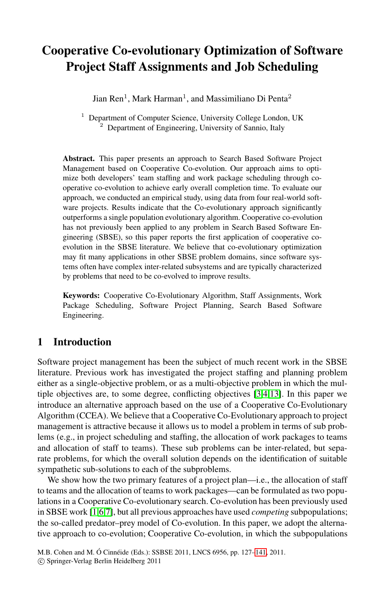# **Cooperative Co-evolutionary Optimization of Software Project Staff Assignments and Job Scheduling**

Jian Ren<sup>1</sup>, Mark Harman<sup>1</sup>, and Massimiliano Di Penta<sup>2</sup>

<sup>1</sup> Department of Computer Science, University College London, UK  $2$  Department of Engineering, University of Sannio, Italy

**Abstract.** This paper presents an approach to Search Based Software Project Management based on Cooperative Co-evolution. Our approach aims to optimize both developers' team staffing and work package scheduling through cooperative co-evolution to achieve early overall completion time. To evaluate our approach, we conducted an empirical study, using data from four real-world software projects. Results indicate that the Co-evolutionary approach significantly outperforms a single population evolutionary algorithm. Cooperative co-evolution has not previously been applied to any problem in Search Based Software Engineering (SBSE), so this paper reports the first application of cooperative coevolution in the SBSE literature. We believe that co-evolutionary optimization may fit many applications in other SBSE problem domains, since software systems often have complex inter-related subsystems and are typically characterized by problems that need to be co-evolved to improve results.

**Keywords:** Cooperative Co-Evolutionary Algorithm, Staff Assignments, Work Package Scheduling, Software P[roj](#page-13-0)[ec](#page-13-1)[t P](#page-14-0)lanning, Search Based Software Engineering.

# **1 Introduction**

Software project management has been the subject of much recent work in the SBSE literature. Previous work has investigated the project staffing and planning problem either as a single-objective problem, or as a multi-objective problem in which the multiple objectives are, to some degree, conflicting objectives [3,4,13]. In this paper we introduce an alternative approach based on the use of a Cooperative Co-Evolutionary Algorithm (CCEA). We believe that a Cooperative Co-Evolutionary approach to project management is attractive because it allows us to model a problem in terms of sub problems (e.g., in project scheduling and staffing, the allocation of work packages to teams and allocation of staff to teams). These sub problems can be inter-related, but separate problems, for which the overall solution depends on the identification of suitable sympathetic sub-solutions to each of the [sub](#page-14-1)problems.

We show how the two primary features of a project plan—i.e., the allocation of staff to teams and the allocation of teams to work packages—can be formulated as two populations in a Cooperative Co-evolutionary search. Co-evolution has been previously used in SBSE work [1,6,7], but all previous approaches have used *competing* subpopulations; the so-called predator–prey model of Co-evolution. In this paper, we adopt the alternative approach to co-evolution; Cooperative Co-evolution, in which the subpopulations

M.B. Cohen and M. Ó Cinnéide (Eds.): SSBSE 2011, LNCS 6956, pp. 127–141, 2011. -c Springer-Verlag Berlin Heidelberg 2011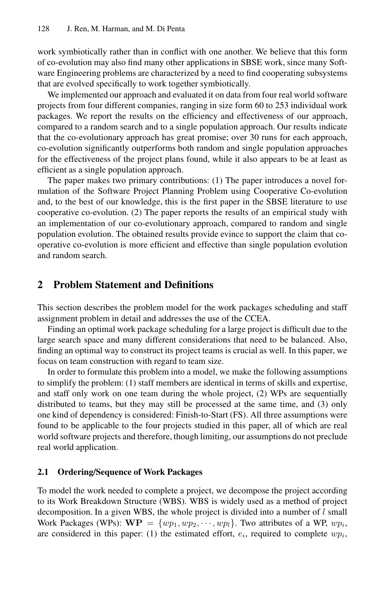work symbiotically rather than in conflict with one another. We believe that this form of co-evolution may also find many other applications in SBSE work, since many Software Engineering problems are characterized by a need to find cooperating subsystems that are evolved specifically to work together symbiotically.

We implemented our approach and evaluated it on data from four real world software projects from four different companies, ranging in size form 60 to 253 individual work packages. We report the results on the efficiency and effectiveness of our approach, compared to a random search and to a single population approach. Our results indicate that the co-evolutionary approach has great promise; over 30 runs for each approach, co-evolution significantly outperforms both random and single population approaches for the effectiveness of the project plans found, while it also appears to be at least as efficient as a single population approach.

The paper makes two primary contributions: (1) The paper introduces a novel formulation of the Software Project Planning Problem using Cooperative Co-evolution and, to the best of our knowledge, this is the first paper in the SBSE literature to use cooperative co-evolution. (2) The paper reports the results of an empirical study with an implementation of our co-evolutionary approach, compared to random and single population evolution. The obtained results provide evince to support the claim that cooperative co-evolution is more efficient and effective than single population evolution and random search.

# **2 Problem Statement and Definitions**

This section describes the problem model for the work packages scheduling and staff assignment problem in detail and addresses the use of the CCEA.

Finding an optimal work package scheduling for a large project is difficult due to the large search space and many different considerations that need to be balanced. Also, finding an optimal way to construct its project teams is crucial as well. In this paper, we focus on team construction with regard to team size.

In order to formulate this problem into a model, we make the following assumptions to simplify the problem: (1) staff members are identical in terms of skills and expertise, and staff only work on one team during the whole project, (2) WPs are sequentially distributed to teams, but they may still be processed at the same time, and (3) only one kind of dependency is considered: Finish-to-Start (FS). All three assumptions were found to be applicable to the four projects studied in this paper, all of which are real world software projects and therefore, though limiting, our assumptions do not preclude real world application.

### **2.1 Ordering/Sequence of Work Packages**

To model the work needed to complete a project, we decompose the project according to its Work Breakdown Structure (WBS). WBS is widely used as a method of project decomposition. In a given WBS, the whole project is divided into a number of *l* small Work Packages (WPs):  $\mathbf{WP} = \{wp_1, wp_2, \cdots, wp_l\}$ . Two attributes of a WP,  $wp_i$ , are considered in this paper: (1) the estimated effort,  $e_i$ , required to complete  $wp_i$ ,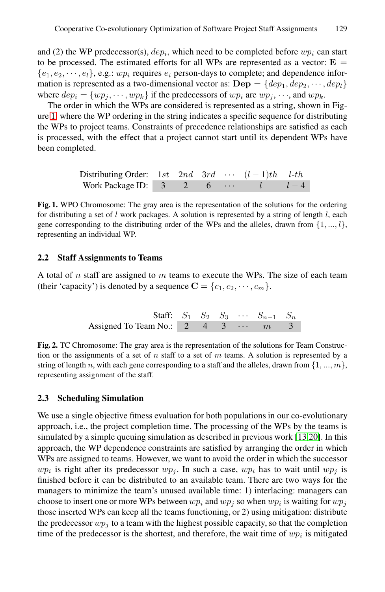and (2) the WP predecessor(s),  $dep<sub>i</sub>$ , which need to be completed before  $wp<sub>i</sub>$  can start to be processed. The estimated efforts for all WPs are represented as a vector:  $\mathbf{E} =$  ${e_1, e_2, \dots, e_l}$ , e.g.: *wp<sub>i</sub>* requires  $e_i$  person-days to complete; and dependence information is represented as a two-dimensional vector as:  $\mathbf{Dep} = \{dep_1, dep_2, \cdots, dep_l\}$ where  $dep_i = \{wp_i, \dots, wp_k\}$  if the predecessors of  $wp_i$  are  $wp_j, \dots$ , and  $wp_k$ .

<span id="page-2-1"></span>The order in which the WPs are considered is represented as a string, shown in Figure 1, where the WP ordering in the string indicates a specific sequence for distributing the WPs to project teams. Constraints of precedence relationships are satisfied as each is processed, with the effect that a project cannot start until its dependent WPs have been completed.

| Distributing Order: $1st$ $2nd$ $3rd$ $\cdots$ $(l-1)th$ $l-th$ |  |  |  |
|-----------------------------------------------------------------|--|--|--|
| Work Package ID: $3 \t 2 \t 6 \t \cdots \t l \t l-4$            |  |  |  |

<span id="page-2-0"></span>**Fig. 1.** WPO Chromosome: The gray area is the representation of the solutions for the ordering for distributing a set of *l* work packages. A solution is represented by a string of length *l*, each gene corresponding to the distributing order of the WPs and the alleles, drawn from  $\{1, ..., l\}$ , representing an individual WP.

### **2.2 Staff Assignments to Teams**

A total of *n* staff are assigned to *m* teams to execute the WPs. The size of each team (their 'capacity') is denoted by a sequence  $\mathbf{C} = \{c_1, c_2, \dots, c_m\}$ .

| Staff:                | $S_1$ | $S_2$ | $S_3$ | ... | $S_{n-1}$ | $S_n$ |
|-----------------------|-------|-------|-------|-----|-----------|-------|
| Assigned To Team No.: | 2     | 4     | 3     | ... | $m$       | 3     |

**Fig. 2.** TC Chromosome: The gray area is the representation of the solutions for Team Construction or the assignments of a set of *n* staff to a set of *m* [tea](#page-14-0)[ms.](#page-14-2) A solution is represented by a string of length *n*, with each gene corresponding to a staff and the alleles, drawn from  $\{1, ..., m\}$ , representing assignment of the staff.

### **2.3 Scheduling Simulation**

We use a single objective fitness evaluation for both populations in our co-evolutionary approach, i.e., the project completion time. The processing of the WPs by the teams is simulated by a simple queuing simulation as described in previous work [13,20]. In this approach, the WP dependence constraints are satisfied by arranging the order in which WPs are assigned to teams. However, we want to avoid the order in which the successor  $wp_i$  is right after its predecessor  $wp_i$ . In such a case,  $wp_i$  has to wait until  $wp_j$  is finished before it can be distributed to an available team. There are two ways for the managers to minimize the team's unused available time: 1) interlacing: managers can choose to insert one or more WPs between  $wp_i$  and  $wp_j$  so when  $wp_i$  is waiting for  $wp_j$ those inserted WPs can keep all the teams functioning, or 2) using mitigation: distribute the predecessor  $wp_j$  to a team with the highest possible capacity, so that the completion time of the predecessor is the shortest, and therefore, the wait time of  $wp_i$  is mitigated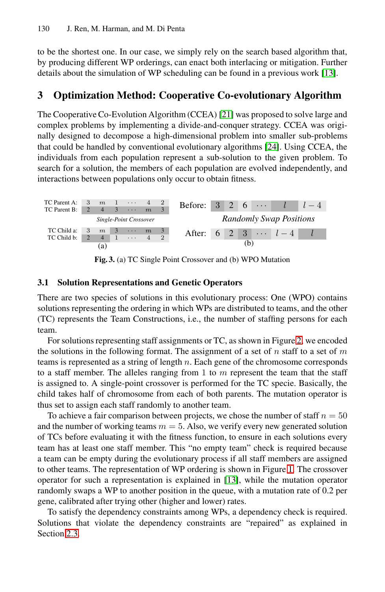#### 130 J. Ren, M. Harman, and [M. D](#page-14-3)i Penta

to be the shortest one. In our case, we simply rely on the search based algorithm that, by producing different WP orderings, can [enac](#page-14-4)t both interlacing or mitigation. Further details about the simulation of WP scheduling can be found in a previous work [13].

# **3 Optimization Method: Cooperative Co-evolutionary Algorithm**

The Cooperative Co-Evolution Algorithm (CCEA) [21] was proposed to solve large and complex problems by implementing a divide-and-conquer strategy. CCEA was originally designed to decompose a high-dimensional problem into smaller sub-problems that could be handled by conventional evolutionary algorithms [24]. Using CCEA, the individuals from each population represent a sub-solution to the given problem. To search for a solution, the members of each population are evolved independently, and interactions between populations only occur to obtain fitness.



**Fig. 3.** (a) TC Single Point Crossover a[nd](#page-2-0) (b) WPO Mutation

### **3.1 Solution Representations and Genetic Operators**

There are two species of solutions in this evolutionary process: One (WPO) contains solutions representing the ordering in which WPs are distributed to teams, and the other (TC) represents the Team Constructions, i.e., the number of staffing persons for each team.

For solutions representing staff assignments or TC, as shown in Figure 2, we encoded the solutions in the following format. The assignment of a set of *n* staff to a set of *m* teams is represented as a string of length *n*. Each gene of the chromosome corresponds to a staff member. The alleles ranging from 1 to *m* represent the team that the staff is assigned to. A single-point crossover is perfor[m](#page-2-1)ed for the TC specie. Basically, the child takes half of chromosom[e fro](#page-14-0)m each of both parents. The mutation operator is thus set to assign each staff randomly to another team.

To achieve a fair comparison between projects, we chose the number of staff  $n = 50$ and the number of working teams  $m = 5$ . Also, we verify every new generated solution of TCs before evaluating it with the fitness function, to ensure in each solutions every team has at least one staff member. This "no empty team" check is required because a team can be empty during the evolutionary process if all staff members are assigned to other teams. The representation of WP ordering is shown in Figure 1. The crossover operator for such a representation is explained in [13], while the mutation operator randomly swaps a WP to another position in the queue, with a mutation rate of 0.2 per gene, calibrated after trying other (higher and lower) rates.

To satisfy the dependency constraints among WPs, a dependency check is required. Solutions that violate the dependency constraints are "repaired" as explained in Section 2.3.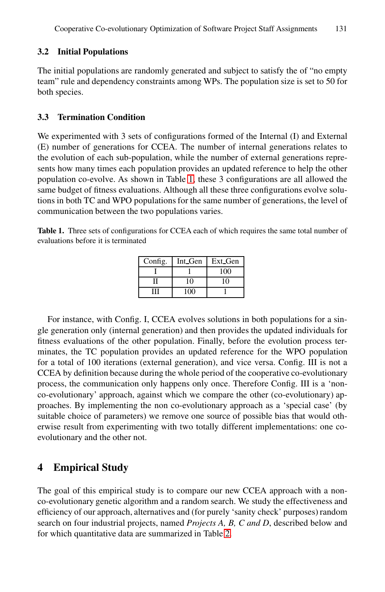# <span id="page-4-0"></span>**3.2 Initial Populations**

The initial populations are randomly generated and subject to satisfy the of "no empty team" rule and dependency constraints among WPs. The population size is set to 50 for both species.

### **3.3 Termination Condition**

We experimented with 3 sets of configurations formed of the Internal (I) and External (E) number of generations for CCEA. The number of internal generations relates to the evolution of each sub-population, while the number of external generations represents how many times each population provides an updated reference to help the other population co-evolve. As shown in Table 1, these 3 configurations are all allowed the same budget of fitness evaluations. Although all these three configurations evolve solutions in both TC and WPO populations for the same number of generations, the level of communication between the two populations varies.

**Table 1.** Three sets of configurations for CCEA each of which requires the same total number of evaluations before it is terminated

| Config. | Int_Gen | Ext_Gen |
|---------|---------|---------|
|         |         | 100     |
|         | ۱O      |         |
|         | ഥറ      |         |

For instance, with Config. I, CCEA evolves solutions in both populations for a single generation only (internal generation) and then provides the updated individuals for fitness evaluations of the other population. Finally, before the evolution process terminates, the TC population provides an updated reference for the WPO population for a total of 100 iterations (external generation), and vice versa. Config. III is not a CCEA by definition because during the whole period of the cooperative co-evolutionary process, the communication only happens only once. Therefore Config. III is a 'nonco-evolutionary' approach, against which we compare the other (co-evolutionary) approaches. By implementing the non co-evolutionary approach as a 'special case' (by suitable choice of parameters) we remove one source of possible bias that would otherwise result from experimenting with two totally different implementations: one coevolutionary and the other not.

# **4 Empirical Study**

The goal of this empirical study is to compare our new CCEA approach with a nonco-evolutionary genetic algorithm and a random search. We study the effectiveness and efficiency of our approach, alternatives and (for purely 'sanity check' purposes) random search on four industrial projects, named *Projects A, B, C and D*, described below and for which quantitative data are summarized in Table 2.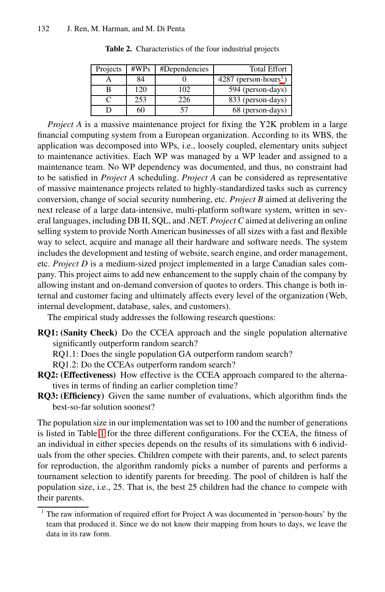#### 132 J. Ren, M. Harman, and M. Di Penta

**Table 2.** Characteristics of the four industrial projects

| Projects | #WPs | #Dependencies | <b>Total Effort</b>                 |  |  |
|----------|------|---------------|-------------------------------------|--|--|
|          | 84   |               | $4287$ (person-hours <sup>1</sup> ) |  |  |
| B        | 120  | 102           | 594 (person-days)                   |  |  |
|          | 253  | 226           | 833 (person-days)                   |  |  |
|          | 60   |               | 68 (person-days)                    |  |  |

*Project A* is a massive maintenance project for fixing the Y2K problem in a large financial computing system from a European organization. According to its WBS, the application was decomposed into WPs, i.e., loosely coupled, elementary units subject to maintenance activities. Each WP was managed by a WP leader and assigned to a maintenance team. No WP dependency was documented, and thus, no constraint had to be satisfied in *Project A* scheduling. *Project A* can be considered as representative of massive maintenance projects related to highly-standardized tasks such as currency conversion, change of social security numbering, etc. *Project B* aimed at delivering the next release of a large data-intensive, multi-platform software system, written in several languages, including DB II, SQL, and .NET. *Project C* aimed at delivering an online selling system to provide North American businesses of all sizes with a fast and flexible way to select, acquire and manage all their hardware and software needs. The system includes the development and testing of website, search engine, and order management, etc. *Project D* is a medium-sized project implemented in a large Canadian sales company. This project aims to add new enhancement to the supply chain of the company by allowing instant and on-demand conversion of quotes to orders. This change is both internal and customer facing and ultimately affects every level of the organization (Web, internal development, database, sales, and customers).

The empirical study addresses the following research questions:

- **RQ1: (Sanity Check)** Do the CCEA approach and the single population alternative significantly outperform random search?
	- RQ1.1: Does the single population GA outperform random search?

RQ1.2: Do the CCEAs outperform random search?

- **RQ2: (Effectiveness)** How effective is the CCEA approach compared to the alternatives in terms of finding an earlier completion time?
- **RQ3: (Efficiency)** Given the same number of evaluations, which algorithm finds the best-so-far solution soonest?

The population size in our implementation was set to 100 and the number of generations is listed in Table 1 for the three different configurations. For the CCEA, the fitness of an individual in either species depends on the results of its simulations with 6 individuals from the other species. Children compete with their parents, and, to select parents for reproduction, the algorithm randomly picks a number of parents and performs a tournament selection to identify parents for breeding. The pool of children is half the population size, i.e., 25. That is, the best 25 children had the chance to compete with their parents.

<sup>&</sup>lt;sup>1</sup> The raw information of required effort for Project A was documented in 'person-hours' by the team that produced it. Since we do not know their mapping from hours to days, we leave the data in its raw form.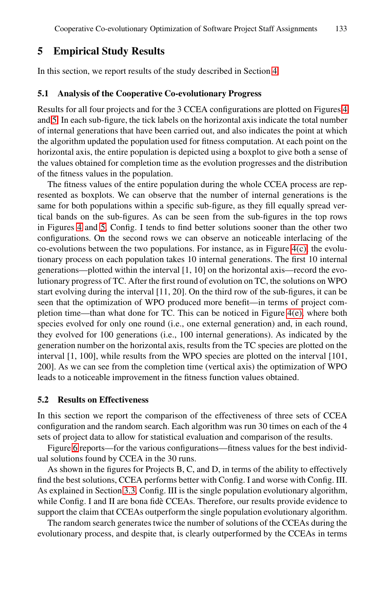# **5 Empirical Study Results**

In this section, we report results of the study described in Section 4.

#### **5.1 Analysis of the Cooperative Co-evolutionary Progress**

Results for all four projects and for the 3 CCEA configurations are plotted on Figures 4 and 5. In each sub-figure, the tick labels on the horizontal axis indicate the total number of internal generations that have been carried out, and also indicates the point at which the algorithm updated the population used for fitness computation. At each point on the horizontal axis, the entire population is depicted using a boxplot to give both a sense of the values obtained for completion time as the evo[lution](#page-7-1) progresses and the distribution of the fitness values in the population.

The fitness values of the entire population during the whole CCEA process are represented as boxplots. We can observe that the number of internal generations is the same for both populations within a specific sub-figure, as they fill equally spread vertical bands on the sub-figures. As can be seen from the sub-figures in the top rows in Figures 4 and 5, Config. I tends to find bette[r solu](#page-7-2)tions sooner than the other two configurations. On the second rows we can observe an noticeable interlacing of the co-evolutions between the two populations. For instance, as in Figure 4(c), the evolutionary process on each population takes 10 internal generations. The first 10 internal generations—plotted within the interval [1, 10] on the horizontal axis—record the evolutionary progress of TC. After the first round of evolution on TC, the solutions on WPO start evolving during the interval [11, 20]. On the third row of the sub-figures, it can be seen that the optimization of WPO produced more benefit—in terms of project completion time—than what done for TC. This can be noticed in Figure  $4(e)$ , where both species evolved for only one round (i.e., one external generation) and, in each round, they evolved for 100 generations (i.e., 100 internal generations). As indicated by the generation number on the horizontal axis, results from the TC species are plotted on the interval [1, 100], while results from the WPO species are plotted on the interval [101, 200]. As we can see from the completion time (vertical axis) the optimization of WPO leads to a noticeable improvement in the fitness function values obtained.

#### **5.2 [R](#page-4-0)esults on Effectiveness**

In this section we report the comparison of the effectiveness of three sets of CCEA configuration and the random search. Each algorithm was run 30 times on each of the 4 sets of project data to allow for statistical evaluation and comparison of the results.

Figure 6 reports—for the various configurations—fitness values for the best individual solutions found by CCEA in the 30 runs.

As shown in the figures for Projects B, C, and D, in terms of the ability to effectively find the best solutions, CCEA performs better with Config. I and worse with Config. III. As explained in Section 3.3, Config. III is the single population evolutionary algorithm, while Config. I and II are bona fidè CCEAs. Therefore, our results provide evidence to support the claim that CCEAs outperform the single population evolutionary algorithm.

The random search generates twice the number of solutions of the CCEAs during the evolutionary process, and despite that, is clearly outperformed by the CCEAs in terms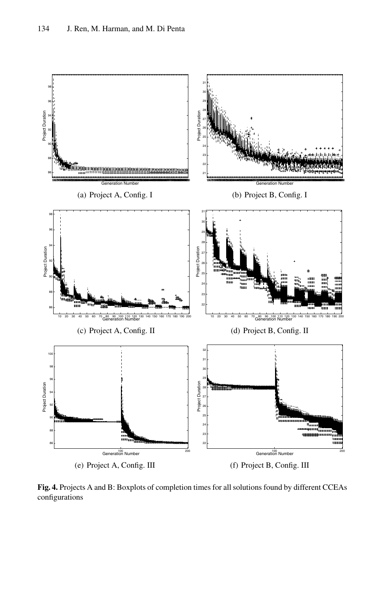<span id="page-7-1"></span><span id="page-7-0"></span>

<span id="page-7-2"></span>**Fig. 4.** Projects A and B: Boxplots of completion times for all solutions found by different CCEAs configurations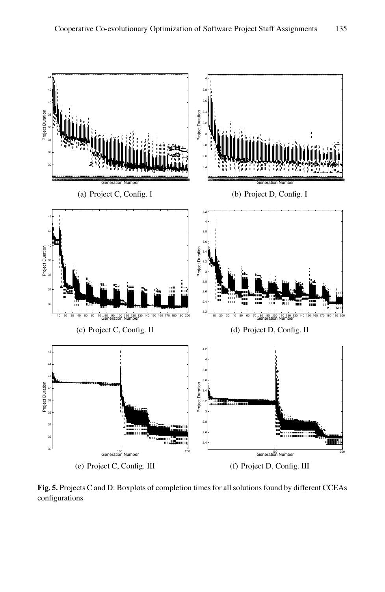

**Fig. 5.** Projects C and D: Boxplots of completion times for all solutions found by different CCEAs configurations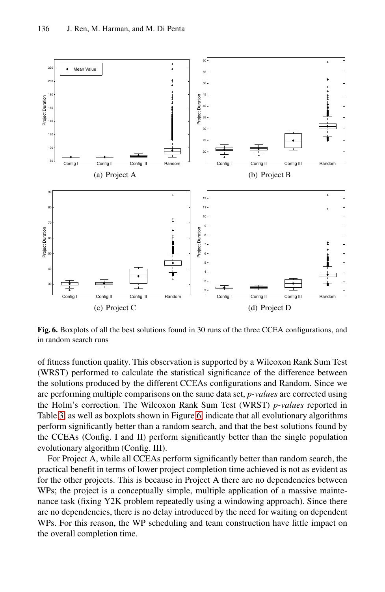<span id="page-9-0"></span>

**Fig. 6.** Boxplots of all the [be](#page-9-0)st solutions found in 30 runs of the three CCEA configurations, and in random search runs

of fitness function quality. This observation is supported by a Wilcoxon Rank Sum Test (WRST) performed to calculate the statistical significance of the difference between the solutions produced by the different CCEAs configurations and Random. Since we are performing multiple comparisons on the same data set, *p-values* are corrected using the Holm's correction. The Wilcoxon Rank Sum Test (WRST) *p-values* reported in Table 3, as well as boxplots shown in Figure 6, indicate that all evolutionary algorithms perform significantly better than a random search, and that the best solutions found by the CCEAs (Config. I and II) perform significantly better than the single population evolutionary algorithm (Config. III).

For Project A, while all CCEAs perform significantly better than random search, the practical benefit in terms of lower project completion time achieved is not as evident as for the other projects. This is because in Project A there are no dependencies between WPs; the project is a conceptually simple, multiple application of a massive maintenance task (fixing Y2K problem repeatedly using a windowing approach). Since there are no dependencies, there is no delay introduced by the need for waiting on dependent WPs. For this reason, the WP scheduling and team construction have little impact on the overall completion time.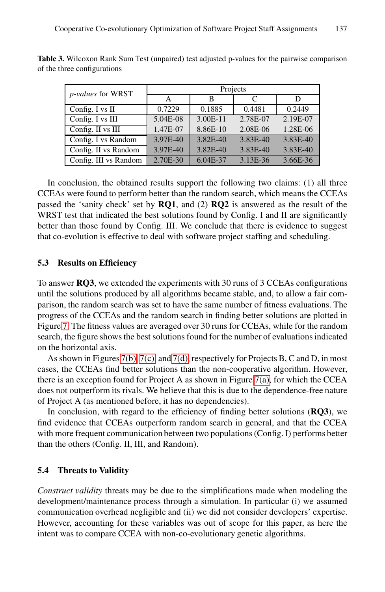| <i>p</i> -values for WRST                   | Projects |          |          |          |  |
|---------------------------------------------|----------|----------|----------|----------|--|
|                                             | A        | В        | C        | D        |  |
| Config. I vs II                             | 0.7229   | 0.1885   | 0.4481   | 0.2449   |  |
| Config. I vs III                            | 5.04E-08 | 3.00E-11 | 2.78E-07 | 2.19E-07 |  |
| Config. $\overline{II}$ vs $\overline{III}$ | 1.47E-07 | 8.86E-10 | 2.08E-06 | 1.28E-06 |  |
| Config. I vs Random                         | 3.97E-40 | 3.82E-40 | 3.83E-40 | 3.83E-40 |  |
| Config. II vs Random                        | 3.97E-40 | 3.82E-40 | 3.83E-40 | 3.83E-40 |  |
| Config. III vs Random                       | 2.70E-30 | 6.04E-37 | 3.13E-36 | 3.66E-36 |  |

**Table 3.** Wilcoxon Rank Sum Test (unpaired) test adjusted p-values for the pairwise comparison of the three configurations

In conclusion, the obtained results support the following two claims: (1) all three CCEAs were found to perform better than the random search, which means the CCEAs passed the 'sanity check' set by **RQ1**, and (2) **RQ2** is answered as the result of the WRST test that indicated the best solutions found by Config. I and II are significantly better than those found by Config. III. We conclude that there is evidence to suggest that co-evolution is effective to deal with software project staffing and scheduling.

### **5.3 Results on Efficiency**

T[o](#page-11-0) [answ](#page-11-0)[er](#page-11-1) **RQ3**, [we](#page-11-2) [ex](#page-11-2)tended the experiments with 30 runs of 3 CCEAs configurations until the solutions produced by all algo[rithm](#page-11-3)s became stable, and, to allow a fair comparison, the random search was set to have the same number of fitness evaluations. The progress of the CCEAs and the random search in finding better solutions are plotted in Figure 7. The fitness values are averaged over 30 runs for CCEAs, while for the random search, the figure shows the best solutions found for the number of evaluations indicated on the horizontal axis.

As shown in Figures 7(b), 7(c), and 7(d), respectively for Projects B, C and D, in most cases, the CCEAs find better solutions than the non-cooperative algorithm. However, there is an exception found for Project A as shown in Figure 7(a), for which the CCEA does not outperform its rivals. We believe that this is due to the dependence-free nature of Project A (as mentioned before, it has no dependencies).

In conclusion, with regard to the efficiency of finding better solutions (**RQ3**), we find evidence that CCEAs outperform random search in general, and that the CCEA with more frequent communication between two populations (Config. I) performs better than the others (Config. II, III, and Random).

### **5.4 Threats to Validity**

*Construct validity* threats may be due to the simplifications made when modeling the development/maintenance process through a simulation. In particular (i) we assumed communication overhead negligible and (ii) we did not consider developers' expertise. However, accounting for these variables was out of scope for this paper, as here the intent was to compare CCEA with non-co-evolutionary genetic algorithms.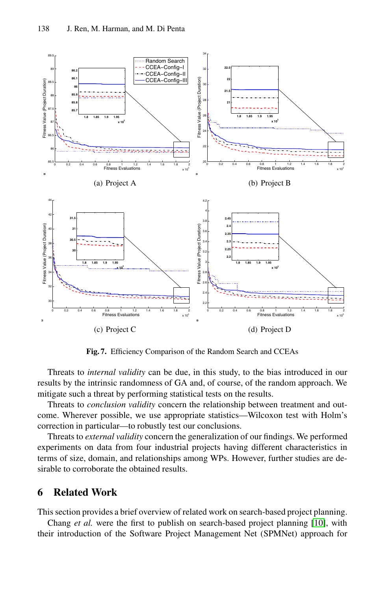<span id="page-11-3"></span><span id="page-11-1"></span><span id="page-11-0"></span>

<span id="page-11-2"></span>**Fig. 7.** Efficiency Comparison of the Random Search and CCEAs

Threats to *internal validity* can be due, in this study, to the bias introduced in our results by the intrinsic randomness of GA and, of course, of the random approach. We mitigate such a threat by performing statistical tests on the results.

Threats to *conclusion validity* concern the relationship between treatment and outcome. Wherever possible, we use appropriate statistics—Wilcoxon test with Holm's correction in particular—to robustly test our conclusions.

Threats to *external validity* concern the generalization [of o](#page-13-2)ur findings. We performed experiments on data from four industrial projects having different characteristics in terms of size, domain, and relationships among WPs. However, further studies are desirable to corroborate the obtained results.

# **6 Related Work**

This section provides a brief overview of related work on search-based project planning.

Chang *et al.* were the first to publish on search-based project planning [10], with their introduction of the Software Project Management Net (SPMNet) approach for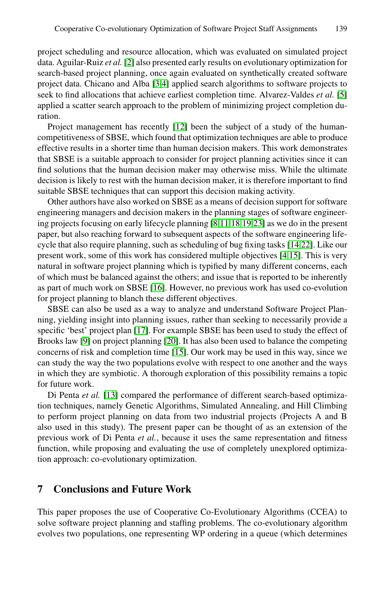project schedulin[g](#page-13-3) [an](#page-13-3)d resource allocation, which was evaluated on simulated project data. Aguilar-Ruiz *et al.* [2] also presented early results on evolutionary optimization for search-based project planning, once again evaluated on synthetically created software project data. Chicano and Alba [3,4] applied search algorithms to software projects to seek to find allocations that achieve earliest completion time. Alvarez-Valdes *et al.* [5] applied a scatter search approach to the problem of minimizing project completion duration.

Project management has recently [12] been the subject of a study of the humancompetitiveness of SBSE, w[hi](#page-13-4)[ch](#page-13-5) [fou](#page-14-5)[nd](#page-14-6) [that](#page-14-7) optimization techniques are able to produce effective results in a shorter time than human decision makers. This work demonstrates that SBSE is a suitable approach to consider for [proj](#page-14-8)[ect](#page-14-9) planning activities since it can find solutions that the human decision maker [ma](#page-13-1)[y o](#page-14-10)therwise miss. While the ultimate decision is likely to rest with the human decision maker, it is therefore important to find suitable SBSE techniques that can support this decision making activity.

Other au[tho](#page-14-11)rs have also worked on SBSE as a means of decision support for software engineering managers and decision makers in the planning stages of software engineering projects focusing on early lifecycle planning [8,11,18,19,23] as we do in the present paper, but also reaching forward to subsequent aspects of the software engineering lifecycle t[hat](#page-14-12) also require planning, such as scheduling of bug fixing tasks [14,22]. Like our present work, s[om](#page-14-2)e of this work has considered multiple objectives [4,15]. This is very natural in softwa[re p](#page-14-10)roject planning which is typified by many different concerns, each of which must be balanced against the others; and issue that is reported to be inherently as part of much work on SBSE [16]. However, no previous work has used co-evolution for project planning to blanch these different objectives.

SBSE can also be used as a way to analyze and understand Software Project Plan[ni](#page-14-0)ng, yielding insight into planning issues, rather than seeking to necessarily provide a specific 'best' project plan [17]. For example SBSE has been used to study the effect of Brooks law [9] on project planning [20]. It has also been used to balance the competing concerns of risk and completion time [15]. Our work may be used in this way, since we can study the way the two populations evolve with respect to one another and the ways in which they are symbiotic. A thorough exploration of this possibility remains a topic for future work.

Di Penta *et al.* [13] compared the performance of different search-based optimization techniques, namely Genetic Algorithms, Simulated Annealing, and Hill Climbing to perform project planning on data from two industrial projects (Projects A and B also used in this study). The present paper can be thought of as an extension of the previous work of Di Penta *et al.*, because it uses the same representation and fitness function, while proposing and evaluating the use of completely unexplored optimization approach: co-evolutionary optimization.

# **7 Conclusions and Future Work**

This paper proposes the use of Cooperative Co-Evolutionary Algorithms (CCEA) to solve software project planning and staffing problems. The co-evolutionary algorithm evolves two populations, one representing WP ordering in a queue (which determines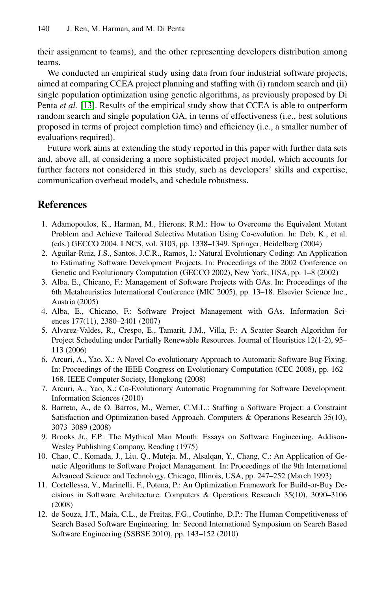#### 140 J. Ren, M. Harman, and M. Di Penta

their assignment to teams), and the other representing developers distribution among teams.

We conducted an empirical study using data from four industrial software projects, aimed at comparing CCEA project planning and staffing with (i) random search and (ii) single population optimization using genetic algorithms, as previously proposed by Di Penta *et al.* [13]. Results of the empirical study show that CCEA is able to outperform random search and single population GA, in terms of effectiveness (i.e., best solutions proposed in terms of project completion time) and efficiency (i.e., a smaller number of evaluations required).

Future work aims at extending the study reported in this paper with further data sets and, above all, at considering a more sophisticated project model, which accounts for further factors not considered in this study, such as developers' skills and expertise, communication overhead models, and schedule robustness.

### <span id="page-13-1"></span><span id="page-13-0"></span>**References**

- 1. Adamopoulos, K., Harman, M., Hierons, R.M.: How to Overcome the Equivalent Mutant Problem and Achieve Tailored Selective Mutation Using Co-evolution. In: Deb, K., et al. (eds.) GECCO 2004. LNCS, vol. 3103, pp. 1338–1349. Springer, Heidelberg (2004)
- 2. Aguilar-Ruiz, J.S., Santos, J.C.R., Ramos, I.: Natural Evolutionary Coding: An Application to Estimating Software Development Projects. In: Proceedings of the 2002 Conference on Genetic and Evolutionary Computation (GECCO 2002), New York, USA, pp. 1–8 (2002)
- 3. Alba, E., Chicano, F.: Management of Software Projects with GAs. In: Proceedings of the 6th Metaheuristics International Conference (MIC 2005), pp. 13–18. Elsevier Science Inc., Austria (2005)
- <span id="page-13-4"></span>4. Alba, E., Chicano, F.: Software Project Management with GAs. Information Sciences 177(11), 2380–2401 (2007)
- 5. Alvarez-Valdes, R., Crespo, E., Tamarit, J.M., Villa, F.: A Scatter Search Algorithm for Project Scheduling under Partially Renewable Resources. Journal of Heuristics 12(1-2), 95– 113 (2006)
- <span id="page-13-2"></span>6. Arcuri, A., Yao, X.: A Novel Co-evolutionary Approach to Automatic Software Bug Fixing. In: Proceedings of the IEEE Congress on Evolutionary Computation (CEC 2008), pp. 162– 168. IEEE Computer Society, Hongkong (2008)
- <span id="page-13-5"></span>7. Arcuri, A., Yao, X.: Co-Evolutionary Automatic Programming for Software Development. Information Sciences (2010)
- 8. Barreto, A., de O. Barros, M., Werner, C.M.L.: Staffing a Software Project: a Constraint Satisfaction and Optimization-based Approach. Computers & Operations Research 35(10), 3073–3089 (2008)
- <span id="page-13-3"></span>9. Brooks Jr., F.P.: The Mythical Man Month: Essays on Software Engineering. Addison-Wesley Publishing Company, Reading (1975)
- 10. Chao, C., Komada, J., Liu, Q., Muteja, M., Alsalqan, Y., Chang, C.: An Application of Genetic Algorithms to Software Project Management. In: Proceedings of the 9th International Advanced Science and Technology, Chicago, Illinois, USA, pp. 247–252 (March 1993)
- 11. Cortellessa, V., Marinelli, F., Potena, P.: An Optimization Framework for Build-or-Buy Decisions in Software Architecture. Computers & Operations Research 35(10), 3090–3106 (2008)
- 12. de Souza, J.T., Maia, C.L., de Freitas, F.G., Coutinho, D.P.: The Human Competitiveness of Search Based Software Engineering. In: Second International Symposium on Search Based Software Engineering (SSBSE 2010), pp. 143–152 (2010)